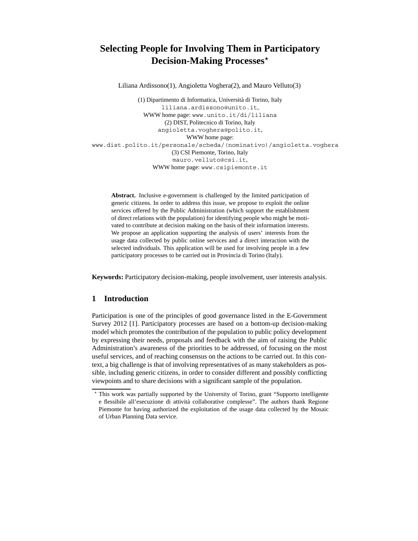# **Selecting People for Involving Them in Participatory Decision-Making Processes***-*

Liliana Ardissono(1), Angioletta Voghera(2), and Mauro Velluto(3)

(1) Dipartimento di Informatica, Universit`a di Torino, Italy liliana.ardissono@unito.it, WWW home page: www.unito.it/di/liliana (2) DIST, Politecnico di Torino, Italy angioletta.voghera@polito.it, WWW home page: www.dist.polito.it/personale/scheda/(nominativo)/angioletta.voghera (3) CSI Piemonte, Torino, Italy mauro.velluto@csi.it, WWW home page: www.csipiemonte.it

**Abstract.** Inclusive e-government is challenged by the limited participation of generic citizens. In order to address this issue, we propose to exploit the online services offered by the Public Administration (which support the establishment of direct relations with the population) for identifying people who might be motivated to contribute at decision making on the basis of their information interests. We propose an application supporting the analysis of users' interests from the usage data collected by public online services and a direct interaction with the selected individuals. This application will be used for involving people in a few participatory processes to be carried out in Provincia di Torino (Italy).

**Keywords:** Participatory decision-making, people involvement, user interests analysis.

# **1 Introduction**

Participation is one of the principles of good governance listed in the E-Government Survey 2012 [1]. Participatory processes are based on a bottom-up decision-making model which promotes the contribution of the population to public policy development by expressing their needs, proposals and feedback with the aim of raising the Public Administration's awareness of the priorities to be addressed, of focusing on the most useful services, and of reaching consensus on the actions to be carried out. In this context, a big challenge is that of involving representatives of as many stakeholders as possible, including generic citizens, in order to consider different and possibly conflicting viewpoints and to share decisions with a significant sample of the population.

<sup>-</sup> This work was partially supported by the University of Torino, grant "Supporto intelligente e flessibile all'esecuzione di attività collaborative complesse". The authors thank Regione Piemonte for having authorized the exploitation of the usage data collected by the Mosaic of Urban Planning Data service.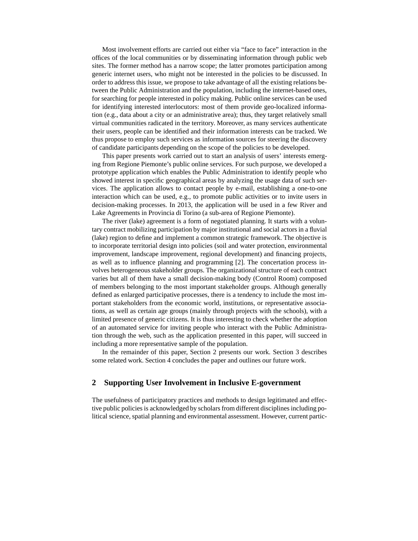Most involvement efforts are carried out either via "face to face" interaction in the offices of the local communities or by disseminating information through public web sites. The former method has a narrow scope; the latter promotes participation among generic internet users, who might not be interested in the policies to be discussed. In order to address this issue, we propose to take advantage of all the existing relations between the Public Administration and the population, including the internet-based ones, for searching for people interested in policy making. Public online services can be used for identifying interested interlocutors: most of them provide geo-localized information (e.g., data about a city or an administrative area); thus, they target relatively small virtual communities radicated in the territory. Moreover, as many services authenticate their users, people can be identified and their information interests can be tracked. We thus propose to employ such services as information sources for steering the discovery of candidate participants depending on the scope of the policies to be developed.

This paper presents work carried out to start an analysis of users' interests emerging from Regione Piemonte's public online services. For such purpose, we developed a prototype application which enables the Public Administration to identify people who showed interest in specific geographical areas by analyzing the usage data of such services. The application allows to contact people by e-mail, establishing a one-to-one interaction which can be used, e.g., to promote public activities or to invite users in decision-making processes. In 2013, the application will be used in a few River and Lake Agreements in Provincia di Torino (a sub-area of Regione Piemonte).

The river (lake) agreement is a form of negotiated planning. It starts with a voluntary contract mobilizing participation by major institutional and social actors in a fluvial (lake) region to define and implement a common strategic framework. The objective is to incorporate territorial design into policies (soil and water protection, environmental improvement, landscape improvement, regional development) and financing projects, as well as to influence planning and programming [2]. The concertation process involves heterogeneous stakeholder groups. The organizational structure of each contract varies but all of them have a small decision-making body (Control Room) composed of members belonging to the most important stakeholder groups. Although generally defined as enlarged participative processes, there is a tendency to include the most important stakeholders from the economic world, institutions, or representative associations, as well as certain age groups (mainly through projects with the schools), with a limited presence of generic citizens. It is thus interesting to check whether the adoption of an automated service for inviting people who interact with the Public Administration through the web, such as the application presented in this paper, will succeed in including a more representative sample of the population.

In the remainder of this paper, Section 2 presents our work. Section 3 describes some related work. Section 4 concludes the paper and outlines our future work.

# **2 Supporting User Involvement in Inclusive E-government**

The usefulness of participatory practices and methods to design legitimated and effective public policies is acknowledged by scholars from different disciplines including political science, spatial planning and environmental assessment. However, current partic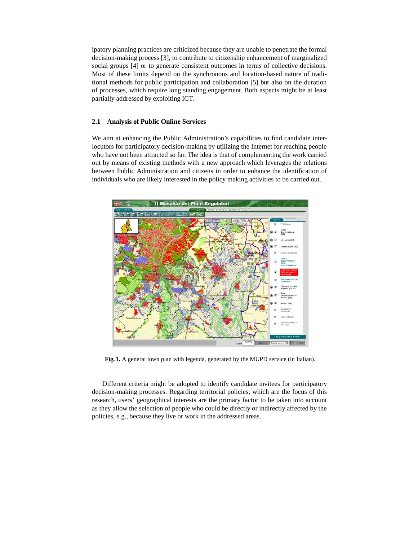ipatory planning practices are criticized because they are unable to penetrate the formal decision-making process [3], to contribute to citizenship enhancement of marginalized social groups [4] or to generate consistent outcomes in terms of collective decisions. Most of these limits depend on the synchronous and location-based nature of traditional methods for public participation and collaboration [5] but also on the duration of processes, which require long standing engagement. Both aspects might be at least partially addressed by exploiting ICT.

#### **2.1 Analysis of Public Online Services**

We aim at enhancing the Public Administration's capabilities to find candidate interlocutors for participatory decision-making by utilizing the Internet for reaching people who have not been attracted so far. The idea is that of complementing the work carried out by means of existing methods with a new approach which leverages the relations between Public Administration and citizens in order to enhance the identification of individuals who are likely interested in the policy making activities to be carried out.



Fig. 1. A general town plan with legenda, generated by the MUPD service (in Italian).

Different criteria might be adopted to identify candidate invitees for participatory decision-making processes. Regarding territorial policies, which are the focus of this research, users' geographical interests are the primary factor to be taken into account as they allow the selection of people who could be directly or indirectly affected by the policies, e.g., because they live or work in the addressed areas.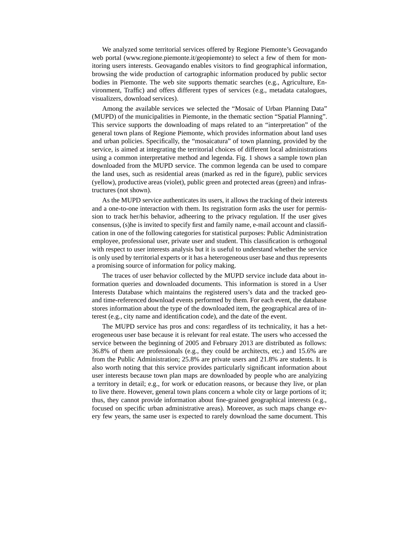We analyzed some territorial services offered by Regione Piemonte's Geovagando web portal (www.regione.piemonte.it/geopiemonte) to select a few of them for monitoring users interests. Geovagando enables visitors to find geographical information, browsing the wide production of cartographic information produced by public sector bodies in Piemonte. The web site supports thematic searches (e.g., Agriculture, Environment, Traffic) and offers different types of services (e.g., metadata catalogues, visualizers, download services).

Among the available services we selected the "Mosaic of Urban Planning Data" (MUPD) of the municipalities in Piemonte, in the thematic section "Spatial Planning". This service supports the downloading of maps related to an "interpretation" of the general town plans of Regione Piemonte, which provides information about land uses and urban policies. Specifically, the "mosaicatura" of town planning, provided by the service, is aimed at integrating the territorial choices of different local administrations using a common interpretative method and legenda. Fig. 1 shows a sample town plan downloaded from the MUPD service. The common legenda can be used to compare the land uses, such as residential areas (marked as red in the figure), public services (yellow), productive areas (violet), public green and protected areas (green) and infrastructures (not shown).

As the MUPD service authenticates its users, it allows the tracking of their interests and a one-to-one interaction with them. Its registration form asks the user for permission to track her/his behavior, adheering to the privacy regulation. If the user gives consensus, (s)he is invited to specify first and family name, e-mail account and classification in one of the following categories for statistical purposes: Public Administration employee, professional user, private user and student. This classification is orthogonal with respect to user interests analysis but it is useful to understand whether the service is only used by territorial experts or it has a heterogeneous user base and thus represents a promising source of information for policy making.

The traces of user behavior collected by the MUPD service include data about information queries and downloaded documents. This information is stored in a User Interests Database which maintains the registered users's data and the tracked geoand time-referenced download events performed by them. For each event, the database stores information about the type of the downloaded item, the geographical area of interest (e.g., city name and identification code), and the date of the event.

The MUPD service has pros and cons: regardless of its technicality, it has a heterogeneous user base because it is relevant for real estate. The users who accessed the service between the beginning of 2005 and February 2013 are distributed as follows: 36.8% of them are professionals (e.g., they could be architects, etc.) and 15.6% are from the Public Administration; 25.8% are private users and 21.8% are students. It is also worth noting that this service provides particularly significant information about user interests because town plan maps are downloaded by people who are analyizing a territory in detail; e.g., for work or education reasons, or because they live, or plan to live there. However, general town plans concern a whole city or large portions of it; thus, they cannot provide information about fine-grained geographical interests (e.g., focused on specific urban administrative areas). Moreover, as such maps change every few years, the same user is expected to rarely download the same document. This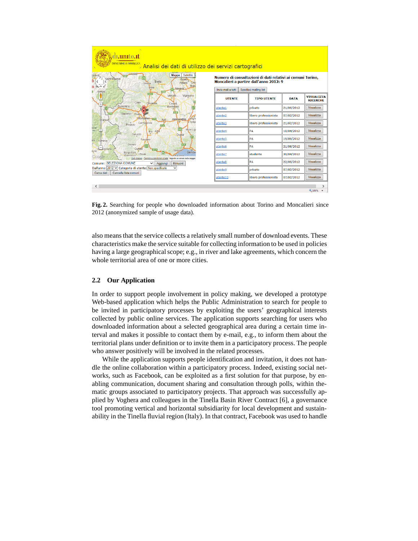

**Fig. 2.** Searching for people who downloaded information about Torino and Moncalieri since 2012 (anonymized sample of usage data).

also means that the service collects a relatively small number of download events. These characteristics make the service suitable for collecting information to be used in policies having a large geographical scope; e.g., in river and lake agreements, which concern the whole territorial area of one or more cities.

#### **2.2 Our Application**

In order to support people involvement in policy making, we developed a prototype Web-based application which helps the Public Administration to search for people to be invited in participatory processes by exploiting the users' geographical interests collected by public online services. The application supports searching for users who downloaded information about a selected geographical area during a certain time interval and makes it possible to contact them by e-mail, e.g., to inform them about the territorial plans under definition or to invite them in a participatory process. The people who answer positively will be involved in the related processes.

While the application supports people identification and invitation, it does not handle the online collaboration within a participatory process. Indeed, existing social networks, such as Facebook, can be exploited as a first solution for that purpose, by enabling communication, document sharing and consultation through polls, within thematic groups associated to participatory projects. That approach was successfully applied by Voghera and colleagues in the Tinella Basin River Contract [6], a governance tool promoting vertical and horizontal subsidiarity for local development and sustainability in the Tinella fluvial region (Italy). In that contract, Facebook was used to handle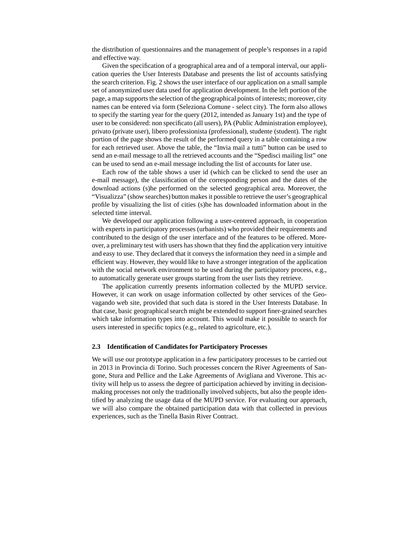the distribution of questionnaires and the management of people's responses in a rapid and effective way.

Given the specification of a geographical area and of a temporal interval, our application queries the User Interests Database and presents the list of accounts satisfying the search criterion. Fig. 2 shows the user interface of our application on a small sample set of anonymized user data used for application development. In the left portion of the page, a map supports the selection of the geographical points of interests; moreover, city names can be entered via form (Seleziona Comune - select city). The form also allows to specify the starting year for the query (2012, intended as January 1st) and the type of user to be considered: non specificato (all users), PA (Public Administration employee), privato (private user), libero professionista (professional), studente (student). The right portion of the page shows the result of the performed query in a table containing a row for each retrieved user. Above the table, the "Invia mail a tutti" button can be used to send an e-mail message to all the retrieved accounts and the "Spedisci mailing list" one can be used to send an e-mail message including the list of accounts for later use.

Each row of the table shows a user id (which can be clicked to send the user an e-mail message), the classification of the corresponding person and the dates of the download actions (s)he performed on the selected geographical area. Moreover, the "Visualizza" (show searches) button makes it possible to retrieve the user's geographical profile by visualizing the list of cities (s)he has downloaded information about in the selected time interval.

We developed our application following a user-centered approach, in cooperation with experts in participatory processes (urbanists) who provided their requirements and contributed to the design of the user interface and of the features to be offered. Moreover, a preliminary test with users has shown that they find the application very intuitive and easy to use. They declared that it conveys the information they need in a simple and efficient way. However, they would like to have a stronger integration of the application with the social network environment to be used during the participatory process, e.g., to automatically generate user groups starting from the user lists they retrieve.

The application currently presents information collected by the MUPD service. However, it can work on usage information collected by other services of the Geovagando web site, provided that such data is stored in the User Interests Database. In that case, basic geographical search might be extended to support finer-grained searches which take information types into account. This would make it possible to search for users interested in specific topics (e.g., related to agricolture, etc.).

#### **2.3 Identification of Candidates for Participatory Processes**

We will use our prototype application in a few participatory processes to be carried out in 2013 in Provincia di Torino. Such processes concern the River Agreements of Sangone, Stura and Pellice and the Lake Agreements of Avigliana and Viverone. This activity will help us to assess the degree of participation achieved by inviting in decisionmaking processes not only the traditionally involved subjects, but also the people identified by analyzing the usage data of the MUPD service. For evaluating our approach, we will also compare the obtained participation data with that collected in previous experiences, such as the Tinella Basin River Contract.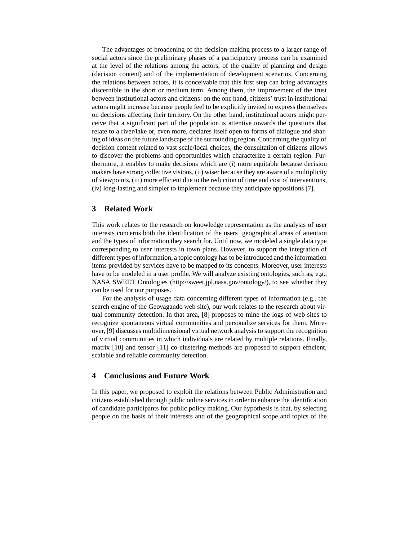The advantages of broadening of the decision-making process to a larger range of social actors since the preliminary phases of a participatory process can be examined at the level of the relations among the actors, of the quality of planning and design (decision content) and of the implementation of development scenarios. Concerning the relations between actors, it is conceivable that this first step can bring advantages discernible in the short or medium term. Among them, the improvement of the trust between institutional actors and citizens: on the one hand, citizens' trust in institutional actors might increase because people feel to be explicitly invited to express themselves on decisions affecting their territory. On the other hand, institutional actors might perceive that a significant part of the population is attentive towards the questions that relate to a river/lake or, even more, declares itself open to forms of dialogue and sharing of ideas on the future landscape of the surrounding region. Concerning the quality of decision content related to vast scale/local choices, the consultation of citizens allows to discover the problems and opportunities which characterize a certain region. Furthermore, it enables to make decisions which are (i) more equitable because decision makers have strong collective visions, (ii) wiser because they are aware of a multiplicity of viewpoints, (iii) more efficient due to the reduction of time and cost of interventions, (iv) long-lasting and simpler to implement because they anticipate oppositions [7].

## **3 Related Work**

This work relates to the research on knowledge representation as the analysis of user interests concerns both the identification of the users' geographical areas of attention and the types of information they search for. Until now, we modeled a single data type corresponding to user interests in town plans. However, to support the integration of different types of information, a topic ontology has to be introduced and the information items provided by services have to be mapped to its concepts. Moreover, user interests have to be modeled in a user profile. We will analyze existing ontologies, such as, e.g., NASA SWEET Ontologies (http://sweet.jpl.nasa.gov/ontology/), to see whether they can be used for our purposes.

For the analysis of usage data concerning different types of information (e.g., the search engine of the Geovagando web site), our work relates to the research about virtual community detection. In that area, [8] proposes to mine the logs of web sites to recognize spontaneous virtual communities and personalize services for them. Moreover, [9] discusses multidimensional virtual network analysis to support the recognition of virtual communities in which individuals are related by multiple relations. Finally, matrix [10] and tensor [11] co-clustering methods are proposed to support efficient, scalable and reliable community detection.

## **4 Conclusions and Future Work**

In this paper, we proposed to exploit the relations between Public Administration and citizens established through public online services in order to enhance the identification of candidate participants for public policy making. Our hypothesis is that, by selecting people on the basis of their interests and of the geographical scope and topics of the